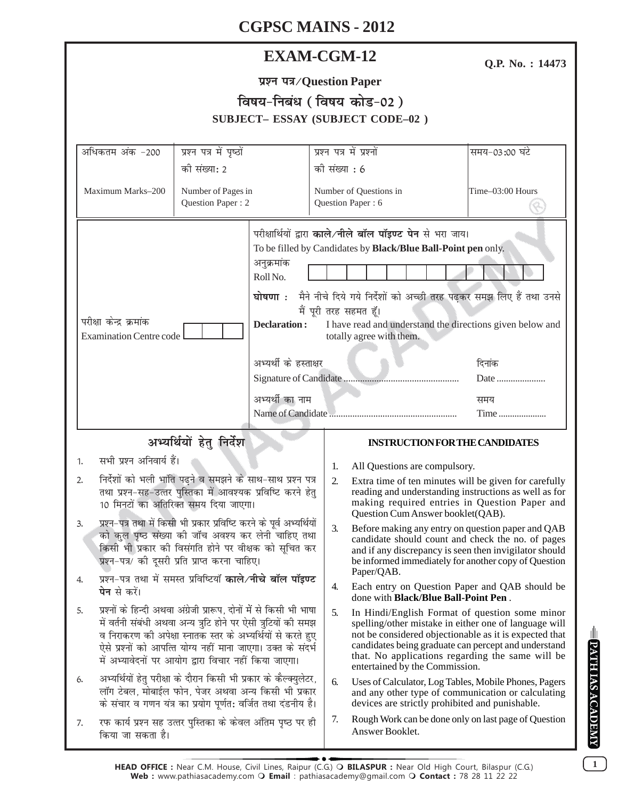| <b>EXAM-CGM-12</b> |
|--------------------|
|--------------------|

Q.P. No.: 14473

| प्रश्न पत्र/Question Paper              |
|-----------------------------------------|
| विषय-निबंध (विषय कोड-02)                |
| <b>SUBJECT- ESSAY (SUBJECT CODE-02)</b> |

| अधिकतम अंक -200                                                                                                                                                                                                                                                                                                                                                                                                                                                                                                                                           | प्रश्न पत्र में पृष्ठों                                     |                                                                             | प्रश्न पत्र में प्रश्नों                                                                                                                                                                                                                                                                                                                                         |                                                                                                                                                                                                                                                                                                                 | समय-03:00 घंटे   |  |
|-----------------------------------------------------------------------------------------------------------------------------------------------------------------------------------------------------------------------------------------------------------------------------------------------------------------------------------------------------------------------------------------------------------------------------------------------------------------------------------------------------------------------------------------------------------|-------------------------------------------------------------|-----------------------------------------------------------------------------|------------------------------------------------------------------------------------------------------------------------------------------------------------------------------------------------------------------------------------------------------------------------------------------------------------------------------------------------------------------|-----------------------------------------------------------------------------------------------------------------------------------------------------------------------------------------------------------------------------------------------------------------------------------------------------------------|------------------|--|
| की संख्या: 2                                                                                                                                                                                                                                                                                                                                                                                                                                                                                                                                              |                                                             |                                                                             | को संख्या : 6                                                                                                                                                                                                                                                                                                                                                    |                                                                                                                                                                                                                                                                                                                 |                  |  |
| Maximum Marks-200                                                                                                                                                                                                                                                                                                                                                                                                                                                                                                                                         | Number of Pages in<br>Question Paper: 2                     |                                                                             |                                                                                                                                                                                                                                                                                                                                                                  | Number of Questions in<br>Question Paper: 6                                                                                                                                                                                                                                                                     | Time-03:00 Hours |  |
| परीक्षा केन्द्र क्रमांक<br><b>Examination Centre code</b>                                                                                                                                                                                                                                                                                                                                                                                                                                                                                                 |                                                             | अनुक्रमांक<br>Roll No.<br>घोषणा <b>ः</b><br>Declaration:<br>अभ्यर्थी का नाम | परीक्षार्थियों द्वारा काले/नीले बॉल पॉइण्ट पेन से भरा जाय।<br>To be filled by Candidates by Black/Blue Ball-Point pen only.<br>मैने नीचे दिये गये निर्देशों को अच्छी तरह पढ़कर समझ लिए हैं तथा उनसे<br>मैं पूरी तरह सहमत हूँ।<br>I have read and understand the directions given below and<br>totally agree with them.<br>अभ्यर्थी के हस्ताक्षर<br>दिनांक<br>समय |                                                                                                                                                                                                                                                                                                                 | Date             |  |
|                                                                                                                                                                                                                                                                                                                                                                                                                                                                                                                                                           |                                                             |                                                                             |                                                                                                                                                                                                                                                                                                                                                                  |                                                                                                                                                                                                                                                                                                                 | Time             |  |
| अभ्यर्थियों हेतु निर्देश                                                                                                                                                                                                                                                                                                                                                                                                                                                                                                                                  |                                                             |                                                                             |                                                                                                                                                                                                                                                                                                                                                                  | <b>INSTRUCTION FOR THE CANDIDATES</b>                                                                                                                                                                                                                                                                           |                  |  |
| सभी प्रश्न अनिवार्य हैं।<br>1.<br>निर्देशों को भली भांति पढ़ने व समझने के साथ-साथ प्रश्न पत्र<br>2.<br>तथा प्रश्न-सह-उत्तर पुस्तिका में आवश्यक प्रविष्टि करने हेतु<br>10 मिनटों का अतिरिक्त समय दिया जाएगा।<br>प्रश्न-पत्र तथा में किसी भी प्रकार प्रविष्टि करने के पूर्व अभ्यर्थियों<br>3.<br>को कुल पृष्ठ संख्या की जाँच अवश्य कर लेनी चाहिए तथा<br>किसी भी प्रकार की विसंगति होने पर वीक्षक को सूचित कर<br>प्रश्न-पत्र/ की दूसरी प्रति प्राप्त करना चाहिए।<br>प्रश्न-पत्र तथा में समस्त प्रविष्टियाँ काले/नीचे बॉल पॉइण्ट<br>4.<br><b>पेन</b> से करें। |                                                             |                                                                             | 1.                                                                                                                                                                                                                                                                                                                                                               | All Questions are compulsory.<br>2.<br>Extra time of ten minutes will be given for carefully<br>reading and understanding instructions as well as for<br>making required entries in Question Paper and<br>Question Cum Answer booklet(QAB).                                                                     |                  |  |
|                                                                                                                                                                                                                                                                                                                                                                                                                                                                                                                                                           |                                                             |                                                                             |                                                                                                                                                                                                                                                                                                                                                                  |                                                                                                                                                                                                                                                                                                                 |                  |  |
|                                                                                                                                                                                                                                                                                                                                                                                                                                                                                                                                                           |                                                             |                                                                             | 3.                                                                                                                                                                                                                                                                                                                                                               | Before making any entry on question paper and QAB<br>candidate should count and check the no. of pages<br>and if any discrepancy is seen then invigilator should<br>be informed immediately for another copy of Question                                                                                        |                  |  |
|                                                                                                                                                                                                                                                                                                                                                                                                                                                                                                                                                           |                                                             |                                                                             | 4.                                                                                                                                                                                                                                                                                                                                                               | Paper/QAB.<br>Each entry on Question Paper and QAB should be<br>done with <b>Black/Blue Ball-Point Pen</b> .                                                                                                                                                                                                    |                  |  |
| प्रश्नों के हिन्दी अथवा अंग्रेजी प्रारूप, दोनों में से किसी भी भाषा<br>5.<br>में वर्तनी संबंधी अथवा अन्य त्रुटि होने पर ऐसी त्रुटियों की समझ<br>व निराकरण की अपेक्षा स्नातक स्तर के अभ्यर्थियों से करते हुए<br>ऐसे प्रश्नों को आपत्ति योग्य नहीं माना जाएगा। उक्त के संदर्भ<br>में अभ्यावेदनों पर आयोग द्वारा विचार नहीं किया जाएगा।                                                                                                                                                                                                                      |                                                             |                                                                             | 5.                                                                                                                                                                                                                                                                                                                                                               | In Hindi/English Format of question some minor<br>spelling/other mistake in either one of language will<br>not be considered objectionable as it is expected that<br>candidates being graduate can percept and understand<br>that. No applications regarding the same will be<br>entertained by the Commission. |                  |  |
| अभ्यर्थियों हेतु परीक्षा के दौरान किसी भी प्रकार के कैल्क्युलेटर,<br>6.<br>लॉग टेबल, मोबाईल फोन, पेजर अथवा अन्य किसी भी प्रकार<br>के संचार व गणन यंत्र का प्रयोग पूर्णत: वर्जित तथा दंडनीय है।                                                                                                                                                                                                                                                                                                                                                            |                                                             |                                                                             | 6.                                                                                                                                                                                                                                                                                                                                                               | Uses of Calculator, Log Tables, Mobile Phones, Pagers<br>and any other type of communication or calculating<br>devices are strictly prohibited and punishable.                                                                                                                                                  |                  |  |
| 7.<br>किया जा सकता है।                                                                                                                                                                                                                                                                                                                                                                                                                                                                                                                                    | रफ कार्य प्रश्न सह उत्तर पुस्तिका के केवल अंतिम पृष्ठ पर ही |                                                                             |                                                                                                                                                                                                                                                                                                                                                                  | Rough Work can be done only on last page of Question<br>Answer Booklet.                                                                                                                                                                                                                                         |                  |  |

 $\boxed{1}$